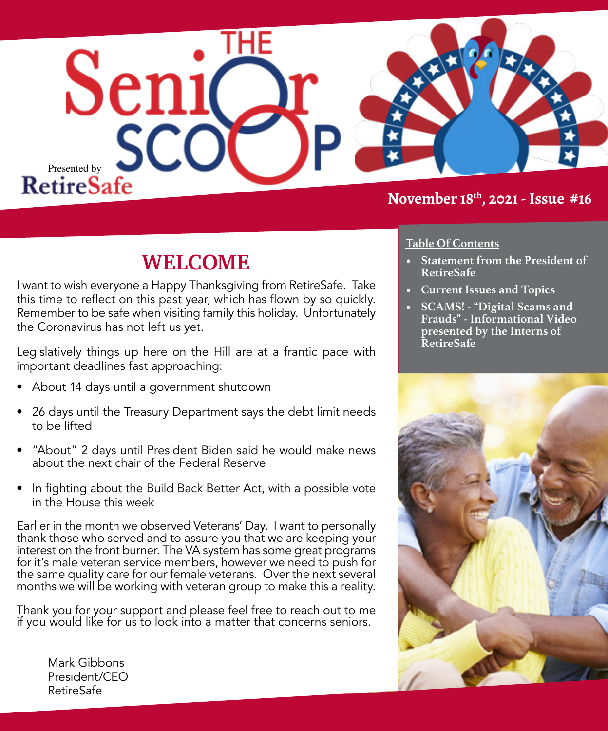

### **November 18th, 2021 - Issue #16**

## **WELCOME**

I want to wish everyone a Happy Thanksgiving from RetireSafe. Take this time to reflect on this past year, which has flown by so quickly. Remember to be safe when visiting family this holiday. Unfortunately the Coronavirus has not left us yet.

Legislatively things up here on the Hill are at a frantic pace with important deadlines fast approaching:

- About 14 days until a government shutdown
- 26 days until the Treasury Department says the debt limit needs to be lifted
- "About" 2 days until President Biden said he would make news about the next chair of the Federal Reserve
- In fighting about the Build Back Better Act, with a possible vote in the House this week

Earlier in the month we observed Veterans' Day. I want to personally thank those who served and to assure you that we are keeping your interest on the front burner. The VA system has some great programs for it's male veteran service members, however we need to push for the same quality care for our female veterans. Over the next several months we will be working with veteran group to make this a reality.

Thank you for your support and please feel free to reach out to me if you would like for us to look into a matter that concerns seniors.

#### **Table Of Contents**

- **• Statement from the President of RetireSafe**
- **• Current Issues and Topics**
- **• SCAMS! "Digital Scams and Frauds" - Informational Video presented by the Interns of RetireSafe**



Mark Gibbons President/CEO RetireSafe